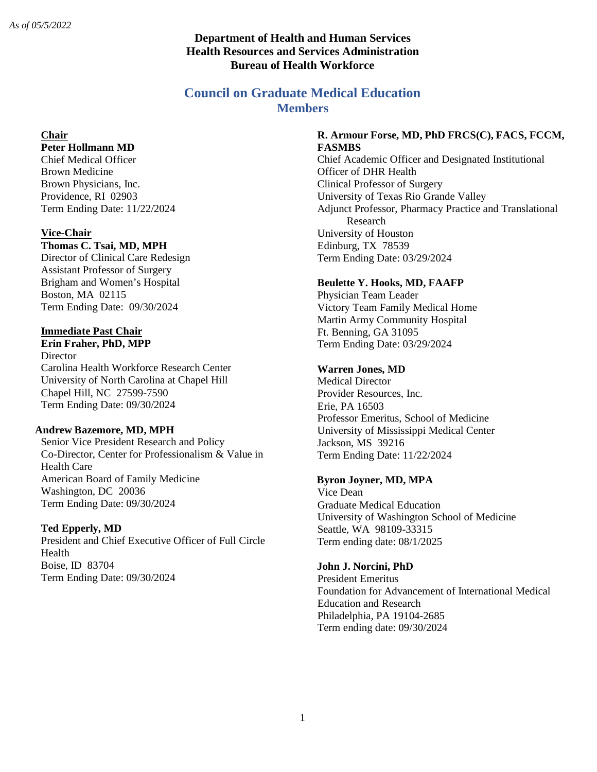## **Department of Health and Human Services Health Resources and Services Administration Bureau of Health Workforce**

# **Council on Graduate Medical Education Members**

# **Chair**

## **Peter Hollmann MD**

Chief Medical Officer Brown Medicine Brown Physicians, Inc. Providence, RI 02903 Term Ending Date: 11/22/2024

#### **Vice-Chair**

#### **Thomas C. Tsai, MD, MPH**

Director of Clinical Care Redesign Assistant Professor of Surgery Brigham and Women's Hospital Boston, MA 02115 Term Ending Date: 09/30/2024

#### **Immediate Past Chair**

**Erin Fraher, PhD, MPP Director** Carolina Health Workforce Research Center University of North Carolina at Chapel Hill Chapel Hill, NC 27599-7590 Term Ending Date: 09/30/2024

#### **Andrew Bazemore, MD, MPH**

Senior Vice President Research and Policy Co-Director, Center for Professionalism & Value in Health Care American Board of Family Medicine Washington, DC 20036 Term Ending Date: 09/30/2024

### **Ted Epperly, MD**

President and Chief Executive Officer of Full Circle Health Boise, ID 83704 Term Ending Date: 09/30/2024

#### **R. Armour Forse, MD, PhD FRCS(C), FACS, FCCM, FASMBS**

Chief Academic Officer and Designated Institutional Officer of DHR Health Clinical Professor of Surgery University of Texas Rio Grande Valley Adjunct Professor, Pharmacy Practice and Translational Research University of Houston Edinburg, TX 78539 Term Ending Date: 03/29/2024

### **Beulette Y. Hooks, MD, FAAFP**

Physician Team Leader Victory Team Family Medical Home Martin Army Community Hospital Ft. Benning, GA 31095 Term Ending Date: 03/29/2024

### **Warren Jones, MD**

Medical Director Provider Resources, Inc. Erie, PA 16503 Professor Emeritus, School of Medicine University of Mississippi Medical Center Jackson, MS 39216 Term Ending Date: 11/22/2024

#### **Byron Joyner, MD, MPA**

Vice Dean Graduate Medical Education University of Washington School of Medicine Seattle, WA 98109-33315 Term ending date: 08/1/2025

#### **John J. Norcini, PhD**

President Emeritus Foundation for Advancement of International Medical Education and Research Philadelphia, PA 19104-2685 Term ending date: 09/30/2024